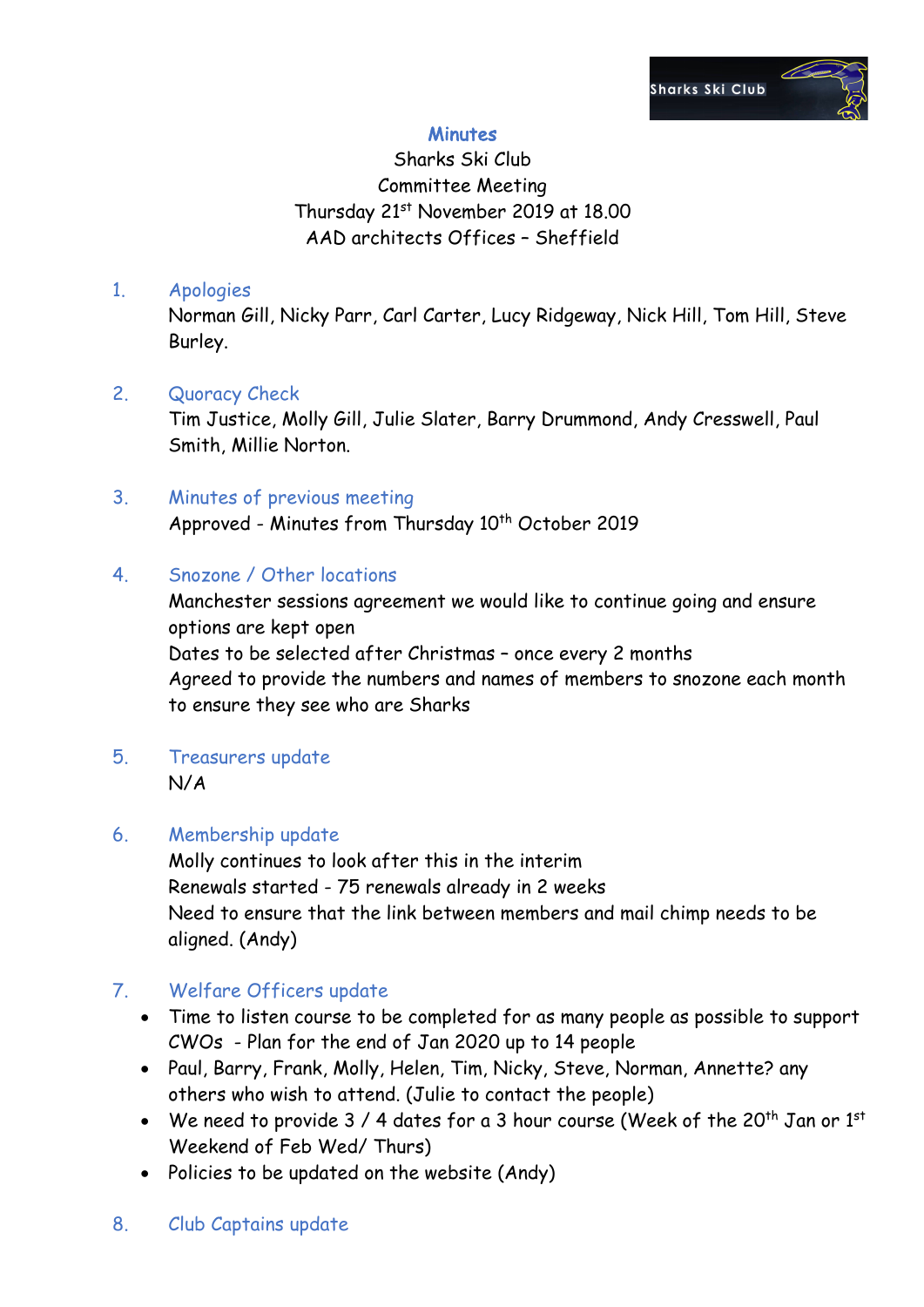

## **Minutes**

# Sharks Ski Club Committee Meeting Thursday 21st November 2019 at 18.00 AAD architects Offices – Sheffield

#### 1. Apologies

Norman Gill, Nicky Parr, Carl Carter, Lucy Ridgeway, Nick Hill, Tom Hill, Steve Burley.

### 2. Quoracy Check

Tim Justice, Molly Gill, Julie Slater, Barry Drummond, Andy Cresswell, Paul Smith, Millie Norton.

# 3. Minutes of previous meeting

Approved - Minutes from Thursday 10<sup>th</sup> October 2019

#### 4. Snozone / Other locations

Manchester sessions agreement we would like to continue going and ensure options are kept open Dates to be selected after Christmas – once every 2 months Agreed to provide the numbers and names of members to snozone each month to ensure they see who are Sharks

5. Treasurers update N/A

### 6. Membership update

Molly continues to look after this in the interim Renewals started - 75 renewals already in 2 weeks Need to ensure that the link between members and mail chimp needs to be aligned. (Andy)

## 7. Welfare Officers update

- Time to listen course to be completed for as many people as possible to support CWOs - Plan for the end of Jan 2020 up to 14 people
- Paul, Barry, Frank, Molly, Helen, Tim, Nicky, Steve, Norman, Annette? any others who wish to attend. (Julie to contact the people)
- We need to provide  $3/4$  dates for a 3 hour course (Week of the 20<sup>th</sup> Jan or 1st Weekend of Feb Wed/ Thurs)
- Policies to be updated on the website (Andy)

### 8. Club Captains update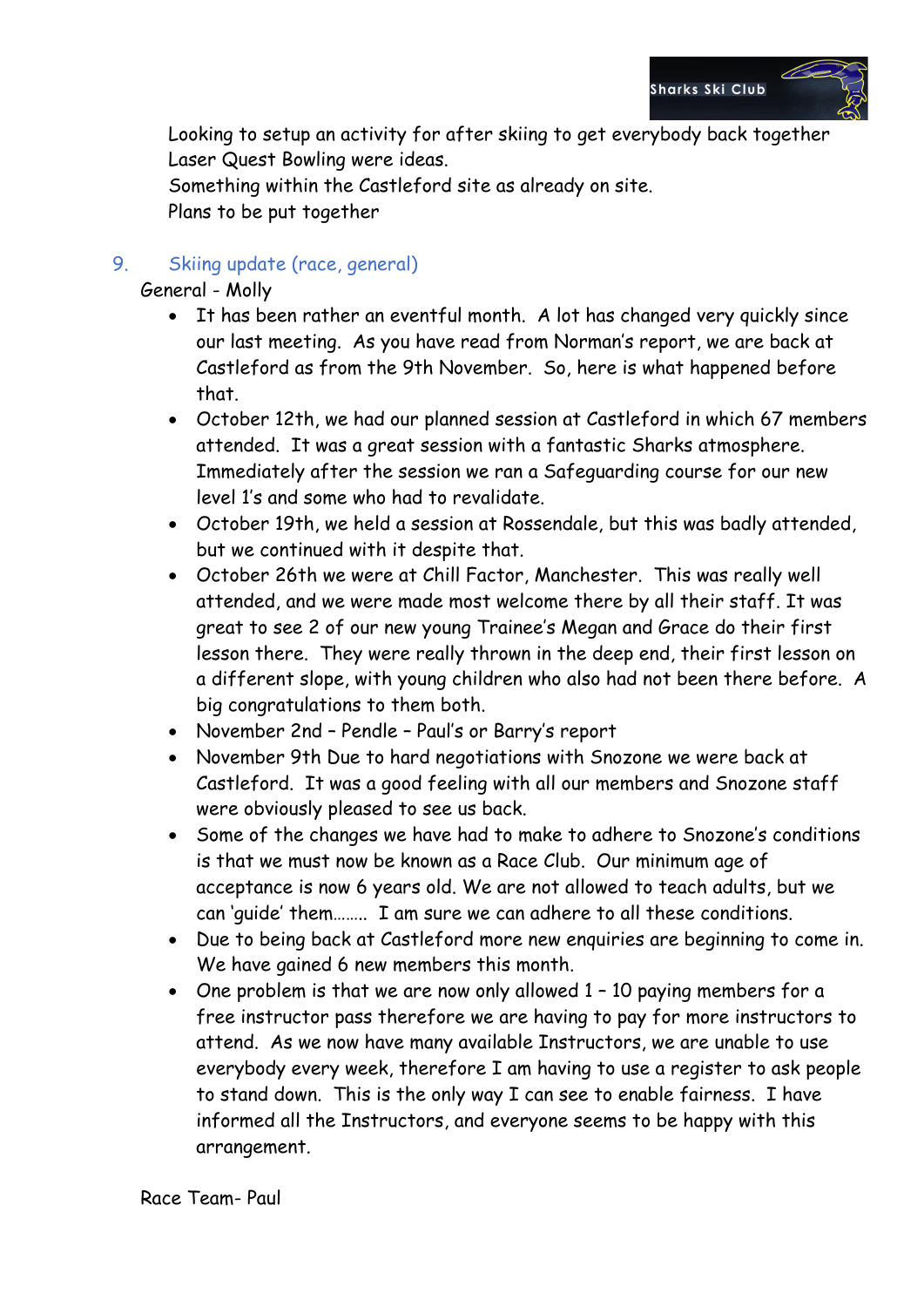

Looking to setup an activity for after skiing to get everybody back together Laser Quest Bowling were ideas.

Something within the Castleford site as already on site. Plans to be put together

### 9. Skiing update (race, general)

General - Molly

- It has been rather an eventful month. A lot has changed very quickly since our last meeting. As you have read from Norman's report, we are back at Castleford as from the 9th November. So, here is what happened before that.
- October 12th, we had our planned session at Castleford in which 67 members attended. It was a great session with a fantastic Sharks atmosphere. Immediately after the session we ran a Safeguarding course for our new level 1's and some who had to revalidate.
- October 19th, we held a session at Rossendale, but this was badly attended, but we continued with it despite that.
- October 26th we were at Chill Factor, Manchester. This was really well attended, and we were made most welcome there by all their staff. It was great to see 2 of our new young Trainee's Megan and Grace do their first lesson there. They were really thrown in the deep end, their first lesson on a different slope, with young children who also had not been there before. A big congratulations to them both.
- November 2nd Pendle Paul's or Barry's report
- November 9th Due to hard negotiations with Snozone we were back at Castleford. It was a good feeling with all our members and Snozone staff were obviously pleased to see us back.
- Some of the changes we have had to make to adhere to Snozone's conditions is that we must now be known as a Race Club. Our minimum age of acceptance is now 6 years old. We are not allowed to teach adults, but we can 'guide' them…….. I am sure we can adhere to all these conditions.
- Due to being back at Castleford more new enquiries are beginning to come in. We have gained 6 new members this month.
- One problem is that we are now only allowed 1 10 paying members for a free instructor pass therefore we are having to pay for more instructors to attend. As we now have many available Instructors, we are unable to use everybody every week, therefore I am having to use a register to ask people to stand down. This is the only way I can see to enable fairness. I have informed all the Instructors, and everyone seems to be happy with this arrangement.

Race Team- Paul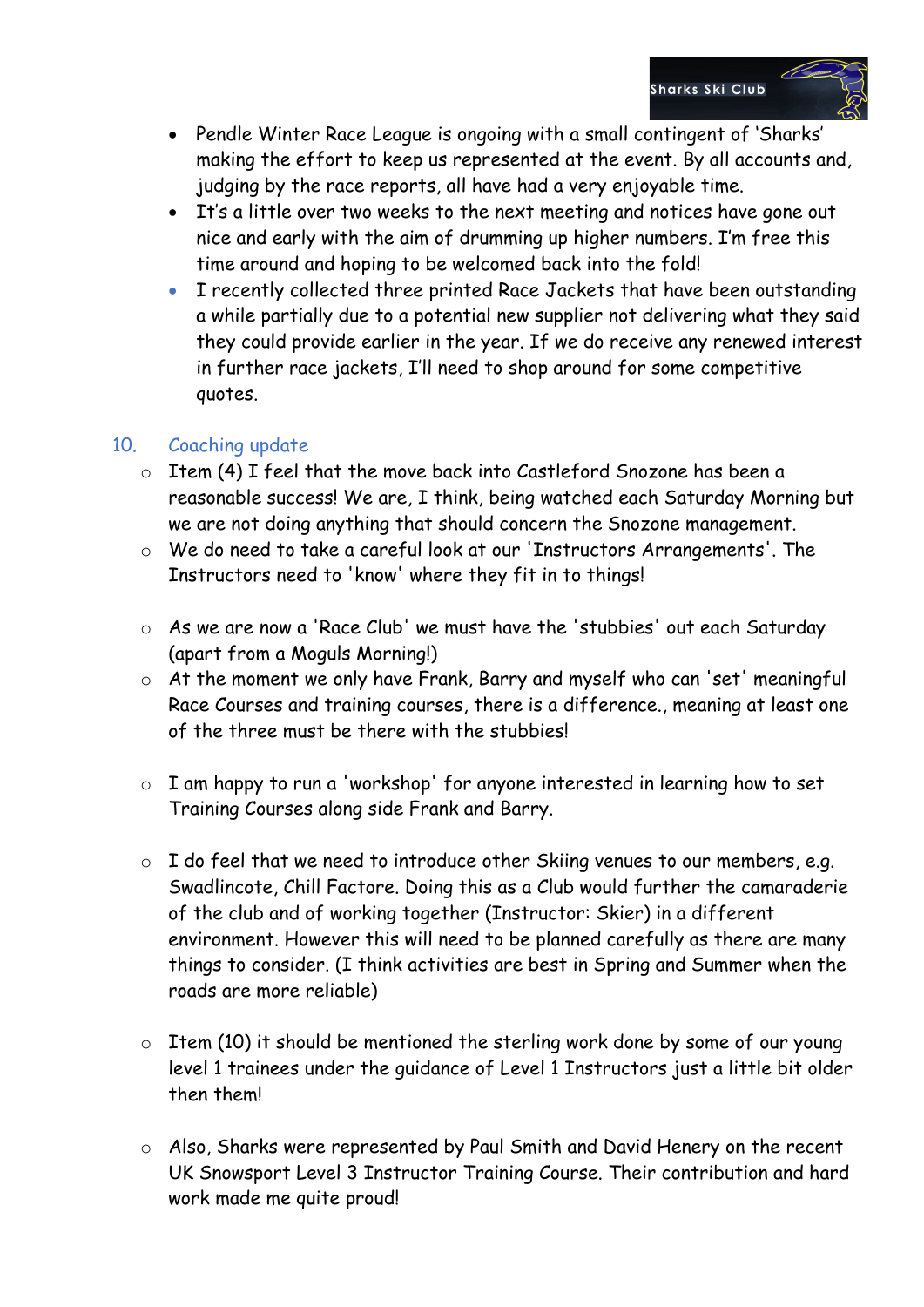- Pendle Winter Race League is ongoing with a small contingent of 'Sharks' making the effort to keep us represented at the event. By all accounts and, judging by the race reports, all have had a very enjoyable time.
- It's a little over two weeks to the next meeting and notices have gone out nice and early with the aim of drumming up higher numbers. I'm free this time around and hoping to be welcomed back into the fold!
- I recently collected three printed Race Jackets that have been outstanding a while partially due to a potential new supplier not delivering what they said they could provide earlier in the year. If we do receive any renewed interest in further race jackets, I'll need to shop around for some competitive quotes.

## 10. Coaching update

- o Item (4) I feel that the move back into Castleford Snozone has been a reasonable success! We are, I think, being watched each Saturday Morning but we are not doing anything that should concern the Snozone management.
- o We do need to take a careful look at our 'Instructors Arrangements'. The Instructors need to 'know' where they fit in to things!
- o As we are now a 'Race Club' we must have the 'stubbies' out each Saturday (apart from a Moguls Morning!)
- o At the moment we only have Frank, Barry and myself who can 'set' meaningful Race Courses and training courses, there is a difference., meaning at least one of the three must be there with the stubbies!
- o I am happy to run a 'workshop' for anyone interested in learning how to set Training Courses along side Frank and Barry.
- $\circ$  I do feel that we need to introduce other Skiing venues to our members, e.g. Swadlincote, Chill Factore. Doing this as a Club would further the camaraderie of the club and of working together (Instructor: Skier) in a different environment. However this will need to be planned carefully as there are many things to consider. (I think activities are best in Spring and Summer when the roads are more reliable)
- o Item (10) it should be mentioned the sterling work done by some of our young level 1 trainees under the guidance of Level 1 Instructors just a little bit older then them!
- o Also, Sharks were represented by Paul Smith and David Henery on the recent UK Snowsport Level 3 Instructor Training Course. Their contribution and hard work made me quite proud!